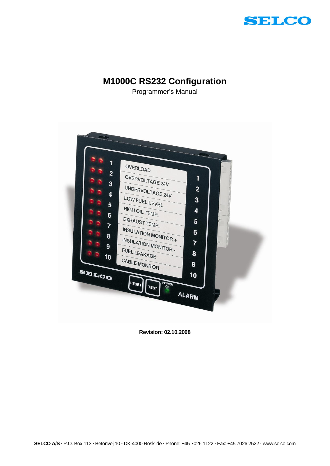

# **M1000C RS232 Configuration**

Programmer's Manual



**Revision: 02.10.2008**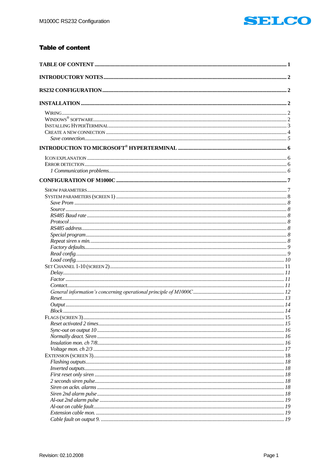

# <span id="page-1-0"></span>**Table of content**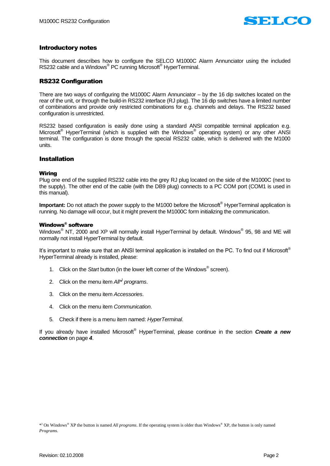

# <span id="page-2-0"></span>Introductory notes

This document describes how to configure the SELCO M1000C Alarm Annunciator using the included RS232 cable and a Windows® PC running Microsoft® HyperTerminal.

# <span id="page-2-1"></span>RS232 Configuration

There are two ways of configuring the M1000C Alarm Annunciator – by the 16 dip switches located on the rear of the unit, or through the build-in RS232 interface (RJ plug). The 16 dip switches have a limited number of combinations and provide only restricted combinations for e.g. channels and delays. The RS232 based configuration is unrestricted.

RS232 based configuration is easily done using a standard ANSI compatible terminal application e.g. Microsoft<sup>®</sup> HyperTerminal (which is supplied with the Windows<sup>®</sup> operating system) or any other ANSI terminal. The configuration is done through the special RS232 cable, which is delivered with the M1000 units.

## <span id="page-2-2"></span>Installation

## <span id="page-2-3"></span>Wiring

Plug one end of the supplied RS232 cable into the grey RJ plug located on the side of the M1000C (next to the supply). The other end of the cable (with the DB9 plug) connects to a PC COM port (COM1 is used in this manual).

**Important:** Do not attach the power supply to the M1000 before the Microsoft<sup>®</sup> HyperTerminal application is running. No damage will occur, but it might prevent the M1000C form initializing the communication.

## <span id="page-2-4"></span>Windows® software

Windows $^{\circledR}$  NT, 2000 and XP will normally install HyperTerminal by default. Windows $^{\circledR}$  95, 98 and ME will normally not install HyperTerminal by default.

It's important to make sure that an ANSI terminal application is installed on the PC. To find out if Microsoft® HyperTerminal already is installed, please:

- 1. Click on the *Start* button (in the lower left corner of the Windows® screen).
- 2. Click on the menu item *All\* ) programs*.
- 3. Click on the menu item *Accessories*.
- 4. Click on the menu item *Communication*.
- 5. Check if there is a menu item named: *HyperTerminal*.

If you already have installed Microsoft® HyperTerminal, please continue in the section *Create [a new](#page-4-0)  [connection](#page-4-0)* on page *[4](#page-4-0)*.

<sup>\*</sup> ) On Windows® XP the button is named *All programs*. If the operating system is older than Windows® XP, the button is only named *Programs*.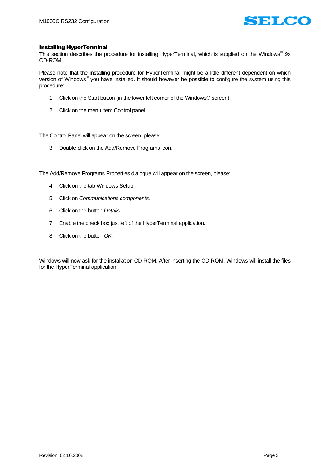

## <span id="page-3-0"></span>Installing HyperTerminal

This section describes the procedure for installing HyperTerminal, which is supplied on the Windows® 9x CD-ROM.

Please note that the installing procedure for HyperTerminal might be a little different dependent on which version of Windows® you have installed. It should however be possible to configure the system using this procedure:

- 1. Click on the Start button (in the lower left corner of the Windows® screen).
- 2. Click on the menu item Control panel.

The Control Panel will appear on the screen, please:

3. Double-click on the Add/Remove Programs icon.

The Add/Remove Programs Properties dialogue will appear on the screen, please:

- 4. Click on the tab Windows Setup.
- 5. Click on *Communications components*.
- 6. Click on the button *Details*.
- 7. Enable the check box just left of the HyperTerminal application.
- 8. Click on the button *OK*.

Windows will now ask for the installation CD-ROM. After inserting the CD-ROM, Windows will install the files for the HyperTerminal application.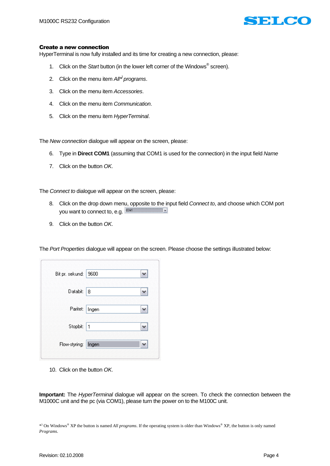

## <span id="page-4-0"></span>Create a new connection

HyperTerminal is now fully installed and its time for creating a new connection, please:

- 1. Click on the *Start* button (in the lower left corner of the Windows® screen).
- 2. Click on the menu item *All\* ) programs*.
- 3. Click on the menu item *Accessories*.
- 4. Click on the menu item *Communication*.
- 5. Click on the menu item *HyperTerminal*.

The *New connection* dialogue will appear on the screen, please:

- 6. Type in **Direct COM1** (assuming that COM1 is used for the connection) in the input field *Name*
- 7. Click on the button *OK*.

The *Connect to* dialogue will appear on the screen, please:

- 8. Click on the drop down menu, opposite to the input field *Connect to*, and choose which COM port you want to connect to, e.g. **COMT**  $\overline{\mathbb{R}}$
- 9. Click on the button *OK*.

|  |  | The Port Properties dialogue will appear on the screen. Please choose the settings illustrated below: |  |
|--|--|-------------------------------------------------------------------------------------------------------|--|
|  |  |                                                                                                       |  |

| Bit pr. sekund:     | 9600  |  |
|---------------------|-------|--|
| Databit: 8          |       |  |
| Paritet:            | Ingen |  |
| Stopbit: 1          |       |  |
| Flow-styring: Ingen |       |  |
|                     |       |  |

10. Click on the button *OK*.

**Important:** The *HyperTerminal* dialogue will appear on the screen. To check the connection between the M1000C unit and the pc (via COM1), please turn the power on to the M100C unit.

<sup>\*</sup> ) On Windows® XP the button is named *All programs*. If the operating system is older than Windows® XP, the button is only named *Programs*.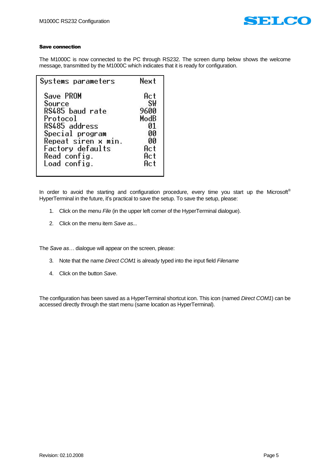

#### <span id="page-5-0"></span>Save connection

The M1000C is now connected to the PC through RS232. The screen dump below shows the welcome message, transmitted by the M1000C which indicates that it is ready for configuration.

| Systems parameters  | Next      |
|---------------------|-----------|
| Save PROM           | Act       |
| Source              | <b>SW</b> |
| RS485 baud rate     | 9600      |
| Protocol            | ModB      |
| RS485 address       | 01        |
| Special program     | 00        |
| Repeat siren x min. | 00        |
| Factory defaults    | Act       |
| Read config.        | Act       |
| Load config.        | Act       |

In order to avoid the starting and configuration procedure, every time you start up the Microsoft® HyperTerminal in the future, it's practical to save the setup. To save the setup, please:

- 1. Click on the menu *File* (in the upper left corner of the HyperTerminal dialogue).
- 2. Click on the menu item *Save as...*

The *Save as…* dialogue will appear on the screen, please:

- 3. Note that the name *Direct COM1* is already typed into the input field *Filename*
- 4. Click on the button *Save*.

The configuration has been saved as a HyperTerminal shortcut icon. This icon (named *Direct COM1*) can be accessed directly through the start menu (same location as HyperTerminal).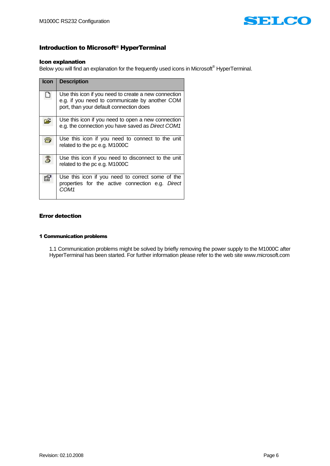

# <span id="page-6-0"></span>Introduction to Microsoft® HyperTerminal

#### <span id="page-6-1"></span>Icon explanation

Below you will find an explanation for the frequently used icons in Microsoft<sup>®</sup> HyperTerminal.

| <b>Icon</b> | <b>Description</b>                                                                                                                                |
|-------------|---------------------------------------------------------------------------------------------------------------------------------------------------|
|             | Use this icon if you need to create a new connection<br>e.g. if you need to communicate by another COM<br>port, than your default connection does |
| Ξ           | Use this icon if you need to open a new connection<br>e.g. the connection you have saved as Direct COM1                                           |
| ×           | Use this icon if you need to connect to the unit<br>related to the pc e.g. M1000C                                                                 |
|             | Use this icon if you need to disconnect to the unit<br>related to the pc e.g. M1000C                                                              |
|             | Use this icon if you need to correct some of the<br>properties for the active connection e.g. Direct<br>COM <sub>1</sub>                          |

## <span id="page-6-2"></span>Error detection

#### <span id="page-6-3"></span>1 Communication problems

1.1 Communication problems might be solved by briefly removing the power supply to the M1000C after HyperTerminal has been started. For further information please refer to the web site www.microsoft.com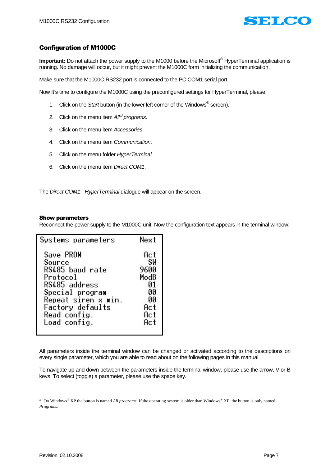

# <span id="page-7-0"></span>Configuration of M1000C

**Important:** Do not attach the power supply to the M1000 before the Microsoft<sup>®</sup> HyperTerminal application is running. No damage will occur, but it might prevent the M1000C form initializing the communication.

Make sure that the M1000C RS232 port is connected to the PC COM1 serial port.

Now It's time to configure the M1000C using the preconfigured settings for HyperTerminal, please:

- 1. Click on the *Start* button (in the lower left corner of the Windows® screen).
- 2. Click on the menu item *All\* ) programs*.
- 3. Click on the menu item *Accessories*.
- 4. Click on the menu item *Communication*.
- 5. Click on the menu folder *HyperTerminal*.
- 6. Click on the menu item *Direct COM1*.

The *Direct COM1 - HyperTerminal* dialogue will appear on the screen.

## <span id="page-7-1"></span>Show parameters

Reconnect the power supply to the M1000C unit. Now the configuration text appears in the terminal window:

| Systems parameters  | Next      |
|---------------------|-----------|
| Save PROM           | Act       |
| Source              | <b>SW</b> |
| RS485 baud rate     | 9600      |
| Protocol            | ModB      |
| RS485 address       | 01        |
| Special program     | 00        |
| Repeat siren x min. | 00        |
| Factory defaults    | Act       |
| Read config.        | Act       |
| Load config.        | Act       |
|                     |           |

All parameters inside the terminal window can be changed or activated according to the descriptions on every single parameter, which you are able to read about on the following pages in this manual.

To navigate up and down between the parameters inside the terminal window, please use the arrow, V or B keys. To select (toggle) a parameter, please use the space key.

\* ) On Windows® XP the button is named *All programs*. If the operating system is older than Windows® XP, the button is only named *Programs*.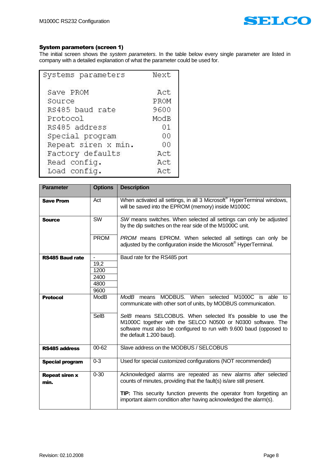

# <span id="page-8-0"></span>System parameters (screen 1)

The initial screen shows the *system parameters*. In the table below every single parameter are listed in company with a detailed explanation of what the parameter could be used for.

| Systems parameters  | Next |
|---------------------|------|
| Save PROM           | Act  |
| Source              | PROM |
| RS485 baud rate     | 9600 |
| Protocol            | ModB |
| RS485 address       | 01   |
| Special program     | 00   |
| Repeat siren x min. | 00   |
| Factory defaults    | Act  |
| Read config.        | Act  |
| Load config.        | Act  |

<span id="page-8-7"></span><span id="page-8-6"></span><span id="page-8-5"></span><span id="page-8-4"></span><span id="page-8-3"></span><span id="page-8-2"></span><span id="page-8-1"></span>

| <b>Parameter</b>              | <b>Options</b> | <b>Description</b>                                                                                                                                                                                                            |
|-------------------------------|----------------|-------------------------------------------------------------------------------------------------------------------------------------------------------------------------------------------------------------------------------|
| <b>Save Prom</b>              | Act            | When activated all settings, in all 3 Microsoft <sup>®</sup> HyperTerminal windows,<br>will be saved into the EPROM (memory) inside M1000C                                                                                    |
| <b>Source</b>                 | <b>SW</b>      | SW means switches. When selected all settings can only be adjusted<br>by the dip switches on the rear side of the M1000C unit.                                                                                                |
|                               | <b>PROM</b>    | PROM means EPROM. When selected all settings can only be<br>adjusted by the configuration inside the Microsoft <sup>®</sup> HyperTerminal.                                                                                    |
| <b>RS485 Baud rate</b>        | $\blacksquare$ | Baud rate for the RS485 port                                                                                                                                                                                                  |
|                               | 19,2           |                                                                                                                                                                                                                               |
|                               | 1200           |                                                                                                                                                                                                                               |
|                               | 2400           |                                                                                                                                                                                                                               |
|                               | 4800           |                                                                                                                                                                                                                               |
|                               | 9600           |                                                                                                                                                                                                                               |
| <b>Protocol</b>               | <b>ModB</b>    | MODBUS. When selected M1000C is able to<br>ModB means<br>communicate with other sort of units, by MODBUS communication.                                                                                                       |
|                               | <b>SelB</b>    | SeIB means SELCOBUS. When selected It's possible to use the<br>M1000C together with the SELCO N0500 or N0300 software. The<br>software must also be configured to run with 9.600 baud (opposed to<br>the default 1.200 baud). |
| <b>RS485 address</b>          | $00 - 62$      | Slave address on the MODBUS / SELCOBUS                                                                                                                                                                                        |
| <b>Special program</b>        | $0 - 3$        | Used for special customized configurations (NOT recommended)                                                                                                                                                                  |
| <b>Repeat siren x</b><br>min. | $0 - 30$       | Acknowledged alarms are repeated as new alarms after selected<br>counts of minutes, providing that the fault(s) is/are still present.                                                                                         |
|                               |                | <b>TIP:</b> This security function prevents the operator from forgetting an<br>important alarm condition after having acknowledged the alarm(s).                                                                              |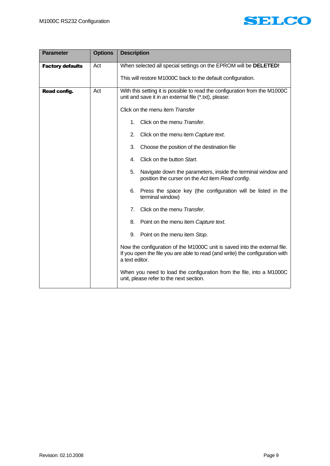

<span id="page-9-1"></span><span id="page-9-0"></span>

| <b>Parameter</b>        | <b>Options</b> | <b>Description</b>                                                                                                                                                          |  |
|-------------------------|----------------|-----------------------------------------------------------------------------------------------------------------------------------------------------------------------------|--|
| <b>Factory defaults</b> | Act            | When selected all special settings on the EPROM will be DELETED!                                                                                                            |  |
|                         |                | This will restore M1000C back to the default configuration.                                                                                                                 |  |
| <b>Read config.</b>     | Act            | With this setting it is possible to read the configuration from the M1000C<br>unit and save it in an external file (*.txt), please:                                         |  |
|                         |                | Click on the menu item Transfer                                                                                                                                             |  |
|                         |                | Click on the menu Transfer.<br>1 <sub>1</sub>                                                                                                                               |  |
|                         |                | 2.<br>Click on the menu item Capture text.                                                                                                                                  |  |
|                         |                | 3.<br>Choose the position of the destination file                                                                                                                           |  |
|                         |                | Click on the button Start.<br>4.                                                                                                                                            |  |
|                         |                | 5.<br>Navigate down the parameters, inside the terminal window and<br>position the curser on the Act item Read config.                                                      |  |
|                         |                | 6. Press the space key (the configuration will be listed in the<br>terminal window)                                                                                         |  |
|                         |                | 7 <sub>1</sub><br>Click on the menu Transfer.                                                                                                                               |  |
|                         |                | Point on the menu item Capture text.<br>8.                                                                                                                                  |  |
|                         |                | 9.<br>Point on the menu item Stop.                                                                                                                                          |  |
|                         |                | Now the configuration of the M1000C unit is saved into the external file.<br>If you open the file you are able to read (and write) the configuration with<br>a text editor. |  |
|                         |                | When you need to load the configuration from the file, into a M1000C<br>unit, please refer to the next section.                                                             |  |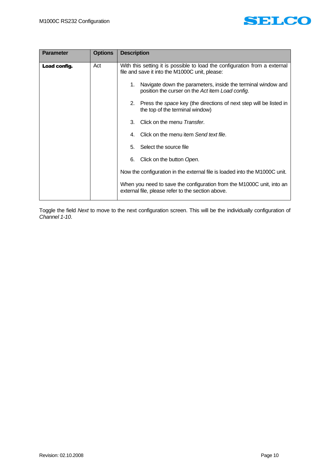

<span id="page-10-0"></span>

| <b>Parameter</b> | <b>Options</b> | <b>Description</b>                                                                                                           |
|------------------|----------------|------------------------------------------------------------------------------------------------------------------------------|
| Load config.     | Act            | With this setting it is possible to load the configuration from a external<br>file and save it into the M1000C unit, please: |
|                  |                | Navigate down the parameters, inside the terminal window and<br>1.<br>position the curser on the Act item Load config.       |
|                  |                | Press the space key (the directions of next step will be listed in<br>2.<br>the top of the terminal window)                  |
|                  |                | Click on the menu Transfer.<br>3.                                                                                            |
|                  |                | 4. Click on the menu item Send text file.                                                                                    |
|                  |                | 5. Select the source file                                                                                                    |
|                  |                | 6.<br>Click on the button Open.                                                                                              |
|                  |                | Now the configuration in the external file is loaded into the M1000C unit.                                                   |
|                  |                | When you need to save the configuration from the M1000C unit, into an<br>external file, please refer to the section above.   |

Toggle the field *Next* to move to the next configuration screen. This will be the individually configuration of *Channel 1-10*.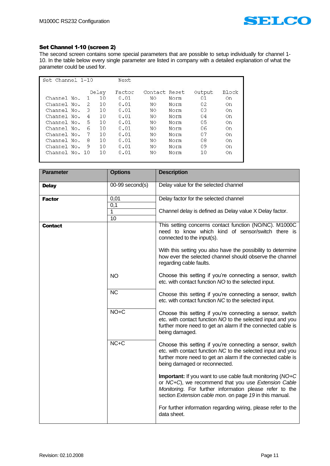

# <span id="page-11-0"></span>Set Channel 1-10 (screen 2)

The second screen contains some special parameters that are possible to setup individually for channel 1- 10. In the table below every single parameter are listed in company with a detailed explanation of what the parameter could be used for.

| Set Channel 1-10 |    |       | Next   |               |      |        |              |
|------------------|----|-------|--------|---------------|------|--------|--------------|
|                  |    | Delay | Factor | Contact Reset |      | Output | <b>Block</b> |
| Channel No.      |    | 10    | 0.01   | NO            | Norm | 01     | On.          |
| Channel No.      | 2. | 10    | 0.01   | ΝO            | Norm | 02     | 0n           |
| Channel No.      | 3  | 10    | 0.01   | ΝO            | Norm | 03     | 0n           |
| Channel No.      | 4  | 10    | 0.01   | NO.           | Norm | 04     | 0n           |
| Channel No.      | 5  | 10    | 0.01   | ΝO            | Norm | 05     | 0n           |
| Channel No.      | 6  | 10    | 0.01   | NO            | Norm | 06     | 0n           |
| Channel No.      | 7  | 10    | 0.01   | ΝO            | Norm | 07     | 0n           |
| Channel No.      | 8  | 10    | 0.01   | NΟ            | Norm | 08     | 0n           |
| Channel No.      | 9  | 10    | 0.01   | ΝO            | Norm | 09     | On.          |
| Channel No. 10   |    | 10    | 0.01   | ΝO            | Norm | 10     | 0n           |

<span id="page-11-3"></span><span id="page-11-2"></span><span id="page-11-1"></span>

| <b>Parameter</b> | <b>Options</b>       | <b>Description</b>                                                                                                                                                                                                                      |
|------------------|----------------------|-----------------------------------------------------------------------------------------------------------------------------------------------------------------------------------------------------------------------------------------|
| <b>Delay</b>     | $00-99$ second(s)    | Delay value for the selected channel                                                                                                                                                                                                    |
| <b>Factor</b>    | 0,01<br>0,1          | Delay factor for the selected channel                                                                                                                                                                                                   |
|                  | 1<br>$\overline{10}$ | Channel delay is defined as Delay value X Delay factor.                                                                                                                                                                                 |
| Contact          |                      | This setting concerns contact function (NO/NC). M1000C<br>need to know which kind of sensor/switch there is<br>connected to the input(s).                                                                                               |
|                  |                      | With this setting you also have the possibility to determine<br>how ever the selected channel should observe the channel<br>regarding cable faults.                                                                                     |
|                  | <b>NO</b>            | Choose this setting if you're connecting a sensor, switch<br>etc. with contact function NO to the selected input.                                                                                                                       |
|                  | $\overline{NC}$      | Choose this setting if you're connecting a sensor, switch<br>etc. with contact function NC to the selected input.                                                                                                                       |
|                  | $NO+C$               | Choose this setting if you're connecting a sensor, switch<br>etc. with contact function NO to the selected input and you<br>further more need to get an alarm if the connected cable is<br>being damaged.                               |
|                  | $NC+C$               | Choose this setting if you're connecting a sensor, switch<br>etc. with contact function NC to the selected input and you<br>further more need to get an alarm if the connected cable is<br>being damaged or reconnected.                |
|                  |                      | Important: If you want to use cable fault monitoring (NO+C<br>or NC+C), we recommend that you use Extension Cable<br>Monitoring. For further information please refer to the<br>section Extension cable mon. on page 19 in this manual. |
|                  |                      | For further information regarding wiring, please refer to the<br>data sheet.                                                                                                                                                            |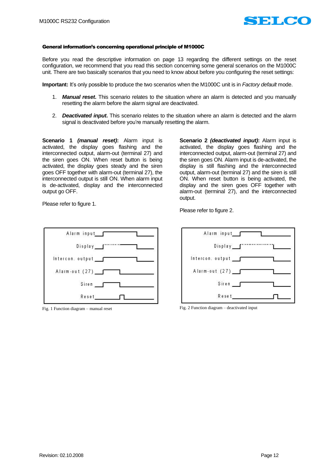

#### <span id="page-12-0"></span>General information's concerning operational principle of M1000C

Before you read the descriptive information on page [13](#page-13-1) regarding the different settings on the reset configuration, we recommend that you read this section concerning some general scenarios on the M1000C unit. There are two basically scenarios that you need to know about before you configuring the reset settings:

**Important:** It's only possible to produce the two scenarios when the M1000C unit is in *Factory default* mode.

- 1. *Manual reset***.** This scenario relates to the situation where an alarm is detected and you manually resetting the alarm before the alarm signal are deactivated.
- 2. *Deactivated input***.** This scenario relates to the situation where an alarm is detected and the alarm signal is deactivated before you're manually resetting the alarm.

<span id="page-12-1"></span>**Scenario 1** *(manual reset)***:** Alarm input is activated, the display goes flashing and the interconnected output, alarm-out (terminal 27) and the siren goes ON. When reset button is being activated, the display goes steady and the siren goes OFF together with alarm-out (terminal 27), the interconnected output is still ON. When alarm input is de-activated, display and the interconnected output go OFF.

**Scenario 2** *(deactivated input)***:** Alarm input is activated, the display goes flashing and the interconnected output, alarm-out (terminal 27) and the siren goes ON. Alarm input is de-activated, the display is still flashing and the interconnected output, alarm-out (terminal 27) and the siren is still ON. When reset button is being activated, the display and the siren goes OFF together with alarm-out (terminal 27), and the interconnected output.

Please refer to figure 1.



Please refer to figure 2.



Fig. 1 Function diagram – manual reset Fig. 2 Function diagram – deactivated input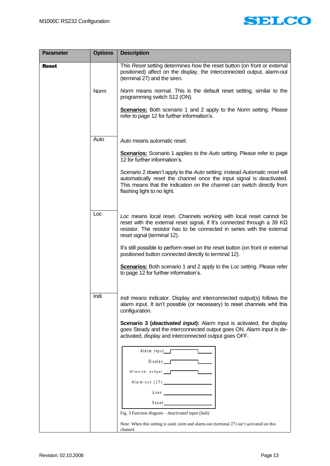

<span id="page-13-1"></span><span id="page-13-0"></span>

| <b>Parameter</b> | <b>Options</b> | <b>Description</b>                                                                                                                                                                                                                                            |
|------------------|----------------|---------------------------------------------------------------------------------------------------------------------------------------------------------------------------------------------------------------------------------------------------------------|
| <b>Reset</b>     |                | This Reset setting determines how the reset button (on front or external<br>positioned) affect on the display, the interconnected output, alarm-out<br>(terminal 27) and the siren.                                                                           |
|                  | <b>Norm</b>    | Norm means normal. This is the default reset setting, similar to the<br>programming switch S12 (ON).                                                                                                                                                          |
|                  |                | <b>Scenarios:</b> Both scenario 1 and 2 apply to the <i>Norm</i> setting. Please<br>refer to page 12 for further information's.                                                                                                                               |
|                  | Auto           | Auto means automatic reset.                                                                                                                                                                                                                                   |
|                  |                | <b>Scenarios:</b> Scenario 1 applies to the Auto setting. Please refer to page                                                                                                                                                                                |
|                  |                | 12 for further information's.                                                                                                                                                                                                                                 |
|                  |                | Scenario 2 doesn't apply to the Auto setting; instead Automatic reset will<br>automatically reset the channel once the input signal is deactivated.<br>This means that the indication on the channel can switch directly from<br>flashing light to no light.  |
|                  | Loc            |                                                                                                                                                                                                                                                               |
|                  |                | Loc means local reset. Channels working with local reset cannot be<br>reset with the external reset signal, if It's connected through a 39 $K\Omega$<br>resistor. The resistor has to be connected in series with the external<br>reset signal (terminal 12). |
|                  |                | It's still possible to perform reset on the reset button (on front or external<br>positioned button connected directly to terminal 12).                                                                                                                       |
|                  |                | <b>Scenarios:</b> Both scenario 1 and 2 apply to the Loc setting. Please refer<br>to page 12 for further information's.                                                                                                                                       |
|                  |                |                                                                                                                                                                                                                                                               |
|                  | Indi           | Indi means indicator. Display and interconnected output(s) follows the<br>alarm input. It isn't possible (or necessary) to reset channels whit this<br>configuration.                                                                                         |
|                  |                | Scenario 3 (deactivated input): Alarm input is activated, the display<br>goes Steady and the interconnected output goes ON. Alarm input is de-<br>activated, display and interconnected output goes OFF.                                                      |
|                  |                | Alarm input___                                                                                                                                                                                                                                                |
|                  |                | Display _____<br>$Intercon.$ output $\qquad \qquad \qquad$                                                                                                                                                                                                    |
|                  |                |                                                                                                                                                                                                                                                               |
|                  |                |                                                                                                                                                                                                                                                               |
|                  |                |                                                                                                                                                                                                                                                               |
|                  |                | Fig. 3 Function diagram - deactivated input (Indi)                                                                                                                                                                                                            |
|                  |                | Note: When this setting is used, siren and alarm-out (terminal 27) isn't activated on this<br>channel.                                                                                                                                                        |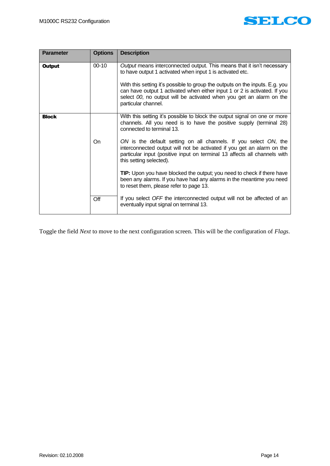

<span id="page-14-1"></span><span id="page-14-0"></span>

| <b>Parameter</b> | <b>Options</b> | <b>Description</b>                                                                                                                                                                                                                                                                                                                                                                             |
|------------------|----------------|------------------------------------------------------------------------------------------------------------------------------------------------------------------------------------------------------------------------------------------------------------------------------------------------------------------------------------------------------------------------------------------------|
| <b>Output</b>    | $00 - 10$      | Output means interconnected output. This means that it isn't necessary<br>to have output 1 activated when input 1 is activated etc.<br>With this setting it's possible to group the outputs on the inputs. E.g. you<br>can have output 1 activated when either input 1 or 2 is activated. If you<br>select 00, no output will be activated when you get an alarm on the<br>particular channel. |
| <b>Block</b>     |                | With this setting it's possible to block the output signal on one or more<br>channels. All you need is to have the positive supply (terminal 28)<br>connected to terminal 13.                                                                                                                                                                                                                  |
|                  | On             | ON is the default setting on all channels. If you select ON, the<br>interconnected output will not be activated if you get an alarm on the<br>particular input (positive input on terminal 13 affects all channels with<br>this setting selected).                                                                                                                                             |
|                  |                | <b>TIP:</b> Upon you have blocked the output; you need to check if there have<br>been any alarms. If you have had any alarms in the meantime you need<br>to reset them, please refer to page 13.                                                                                                                                                                                               |
|                  | Off            | If you select OFF the interconnected output will not be affected of an<br>eventually input signal on terminal 13.                                                                                                                                                                                                                                                                              |

Toggle the field *Next* to move to the next configuration screen. This will be the configuration of *Flags*.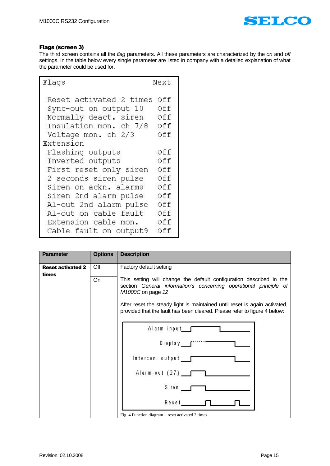

# <span id="page-15-0"></span>Flags (screen 3)

The third screen contains all the *flag* parameters. All these parameters are characterized by the *on* and *off* settings. In the table below every single parameter are listed in company with a detailed explanation of what the parameter could be used for.

| Flaqs                   | Next |
|-------------------------|------|
| Reset activated 2 times | Off  |
| Sync-out on output 10   | Off  |
| Normally deact. siren   | Off  |
| Insulation mon. ch 7/8  | Off  |
| Voltage mon. ch 2/3     | Off  |
| Extension               |      |
| Flashing outputs        | Off  |
| Inverted outputs        | Off  |
| First reset only siren  | Off  |
| 2 seconds siren pulse   | Off  |
| Siren on ackn. alarms   | Off  |
| Siren 2nd alarm pulse   | Off  |
| Al-out 2nd alarm pulse  | Off  |
| Al-out on cable fault   | Off  |
| Extension cable mon.    | Off  |
| Cable fault on output9  | Off  |

<span id="page-15-1"></span>

| <b>Parameter</b>         | <b>Options</b> | <b>Description</b>                                                                                                                                                                                                                                                                                                       |
|--------------------------|----------------|--------------------------------------------------------------------------------------------------------------------------------------------------------------------------------------------------------------------------------------------------------------------------------------------------------------------------|
| <b>Reset activated 2</b> | Off            | Factory default setting                                                                                                                                                                                                                                                                                                  |
| times                    | On             | This setting will change the default configuration described in the<br>section General information's concerning operational principle of<br>M1000C on page 12<br>After reset the steady light is maintained until reset is again activated,<br>provided that the fault has been cleared. Please refer to figure 4 below: |
|                          |                | Alarm input_f<br>Display <b>f</b><br>Intercon. output ___<br>Alarm-out (27)<br>Siren<br>Reset<br>Fig. 4 Function diagram – reset activated 2 times                                                                                                                                                                       |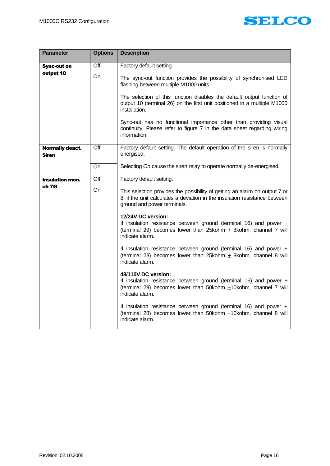

<span id="page-16-2"></span><span id="page-16-1"></span><span id="page-16-0"></span>

| <b>Parameter</b>                       | <b>Options</b>   | <b>Description</b>                                                                                                                                                                      |
|----------------------------------------|------------------|-----------------------------------------------------------------------------------------------------------------------------------------------------------------------------------------|
| <b>Sync-out on</b>                     | $\overline{Off}$ | Factory default setting.                                                                                                                                                                |
| output 10                              | On               | The sync-out function provides the possibility of synchronised LED<br>flashing between multiple M1000 units.                                                                            |
|                                        |                  | The selection of this function disables the default output function of<br>output 10 (terminal 26) on the first unit positioned in a multiple M1000<br>installation.                     |
|                                        |                  | Sync-out has no functional importance other than providing visual<br>continuity. Please refer to figure 7 in the data sheet regarding wiring<br>information.                            |
| <b>Normally deact.</b><br><b>Siren</b> | Off              | Factory default setting. The default operation of the siren is normally<br>energised.                                                                                                   |
|                                        | On               | Selecting On cause the siren relay to operate normally de-energised.                                                                                                                    |
| <b>Insulation mon.</b><br>ch 7/8       | Off              | Factory default setting.                                                                                                                                                                |
|                                        | On               | This selection provides the possibility of getting an alarm on output 7 or<br>8, if the unit calculates a deviation in the insulation resistance between<br>ground and power terminals. |
|                                        |                  | 12/24V DC version:<br>If insulation resistance between ground (terminal 16) and power $\div$<br>(terminal 29) becomes lower than $25kohm \pm 8kohm$ , channel 7 will<br>indicate alarm. |
|                                        |                  | If insulation resistance between ground (terminal 16) and power +<br>(terminal 28) becomes lower than 25kohm $\pm$ 8kohm, channel 8 will<br>indicate alarm.                             |
|                                        |                  | 48/110V DC version:<br>If insulation resistance between ground (terminal 16) and power $\div$<br>(terminal 29) becomes lower than 50kohm ±10kohm, channel 7 will<br>indicate alarm.     |
|                                        |                  | If insulation resistance between ground (terminal 16) and power +<br>(terminal 28) becomes lower than 50kohm ±10kohm, channel 8 will<br>indicate alarm.                                 |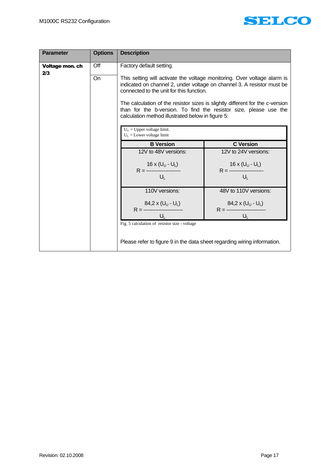

<span id="page-17-0"></span>

| <b>Parameter</b>       | <b>Options</b> | <b>Description</b>                                                       |                                                                                                                                                    |
|------------------------|----------------|--------------------------------------------------------------------------|----------------------------------------------------------------------------------------------------------------------------------------------------|
| Voltage mon. ch<br>2/3 | Off<br>On      | Factory default setting.                                                 | This setting will activate the voltage monitoring. Over voltage alarm is                                                                           |
|                        |                | connected to the unit for this function.                                 | indicated on channel 2, under voltage on channel 3. A resistor must be                                                                             |
|                        |                | calculation method illustrated below in figure 5:                        | The calculation of the resistor sizes is slightly different for the c-version<br>than for the b-version. To find the resistor size, please use the |
|                        |                | $U_U$ = Upper voltage limit.<br>$U_L$ = Lower voltage limit              |                                                                                                                                                    |
|                        |                | <b>B</b> Version                                                         | <b>C</b> Version                                                                                                                                   |
|                        |                | 12V to 48V versions:                                                     | 12V to 24V versions:                                                                                                                               |
|                        |                | $16 \times (U_U - U_L)$<br>R = --------------------                      | 16 x (U <sub>U</sub> - U <sub>L</sub> )<br>R = --------------------                                                                                |
|                        |                | U <sub>L</sub>                                                           | $U_{\perp}$                                                                                                                                        |
|                        |                | 110V versions:                                                           | 48V to 110V versions:                                                                                                                              |
|                        |                | 84,2 x $(U_U - U_L)$<br>$U_{\perp}$                                      | $U_1$                                                                                                                                              |
|                        |                | Fig. 5 calculation of resistor size - voltage                            |                                                                                                                                                    |
|                        |                | Please refer to figure 9 in the data sheet regarding wiring information. |                                                                                                                                                    |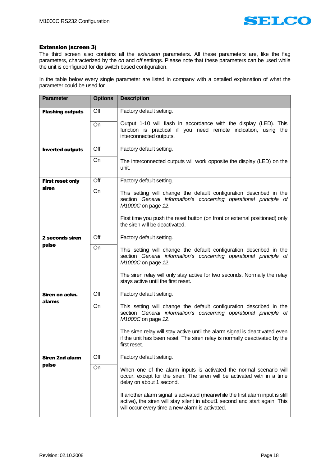

# <span id="page-18-0"></span>Extension (screen 3)

The third screen also contains all the e*xtension* parameters. All these parameters are, like the flag parameters, characterized by the *on* and *off* settings. Please note that these parameters can be used while the unit is configured for dip switch based configuration.

In the table below every single parameter are listed in company with a detailed explanation of what the parameter could be used for.

<span id="page-18-6"></span><span id="page-18-5"></span><span id="page-18-4"></span><span id="page-18-3"></span><span id="page-18-2"></span><span id="page-18-1"></span>

| <b>Parameter</b>        | <b>Options</b>   | <b>Description</b>                                                                                                                                                                                                                                                              |
|-------------------------|------------------|---------------------------------------------------------------------------------------------------------------------------------------------------------------------------------------------------------------------------------------------------------------------------------|
| <b>Flashing outputs</b> | $\overline{Off}$ | Factory default setting.                                                                                                                                                                                                                                                        |
|                         | On               | Output 1-10 will flash in accordance with the display (LED). This<br>function is practical if you need remote indication, using the<br>interconnected outputs.                                                                                                                  |
| <b>Inverted outputs</b> | Off              | Factory default setting.                                                                                                                                                                                                                                                        |
|                         | On               | The interconnected outputs will work opposite the display (LED) on the<br>unit.                                                                                                                                                                                                 |
| <b>First reset only</b> | Off              | Factory default setting.                                                                                                                                                                                                                                                        |
| siren                   | On               | This setting will change the default configuration described in the<br>section General information's concerning operational principle of<br>M1000C on page 12.<br>First time you push the reset button (on front or external positioned) only<br>the siren will be deactivated. |
| 2 seconds siren         | $\overline{Off}$ | Factory default setting.                                                                                                                                                                                                                                                        |
| pulse                   | <b>On</b>        | This setting will change the default configuration described in the<br>section General information's concerning operational principle of<br>M1000C on page 12.<br>The siren relay will only stay active for two seconds. Normally the relay                                     |
|                         |                  | stays active until the first reset.                                                                                                                                                                                                                                             |
| Siren on ackn.          | Off              | Factory default setting.                                                                                                                                                                                                                                                        |
| alarms                  | On               | This setting will change the default configuration described in the<br>section General information's concerning operational principle of<br>M1000C on page 12.                                                                                                                  |
|                         |                  | The siren relay will stay active until the alarm signal is deactivated even<br>if the unit has been reset. The siren relay is normally deactivated by the<br>first reset.                                                                                                       |
| <b>Siren 2nd alarm</b>  | Off              | Factory default setting.                                                                                                                                                                                                                                                        |
| pulse                   | On               | When one of the alarm inputs is activated the normal scenario will<br>occur, except for the siren. The siren will be activated with in a time<br>delay on about 1 second.                                                                                                       |
|                         |                  | If another alarm signal is activated (meanwhile the first alarm input is still<br>active), the siren will stay silent in about1 second and start again. This<br>will occur every time a new alarm is activated.                                                                 |